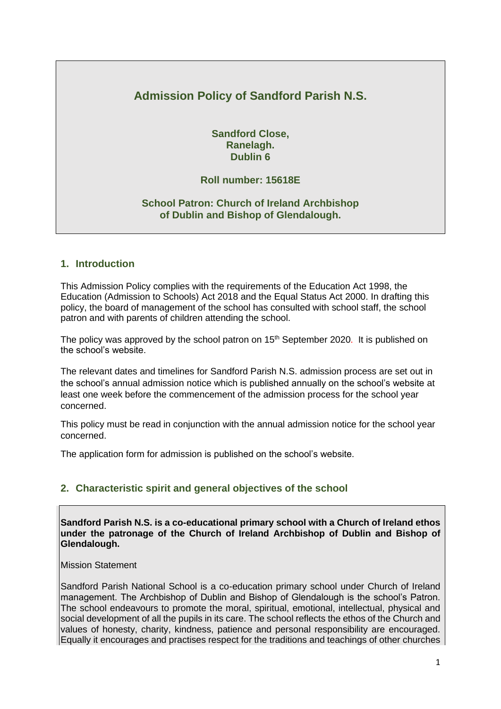# **Admission Policy of Sandford Parish N.S.**

**Sandford Close, Ranelagh. Dublin 6**

## **Roll number: 15618E**

### **School Patron: Church of Ireland Archbishop of Dublin and Bishop of Glendalough.**

#### **1. Introduction**

This Admission Policy complies with the requirements of the Education Act 1998, the Education (Admission to Schools) Act 2018 and the Equal Status Act 2000. In drafting this policy, the board of management of the school has consulted with school staff, the school patron and with parents of children attending the school.

The policy was approved by the school patron on 15<sup>th</sup> September 2020. It is published on the school's website.

The relevant dates and timelines for Sandford Parish N.S. admission process are set out in the school's annual admission notice which is published annually on the school's website at least one week before the commencement of the admission process for the school year concerned.

This policy must be read in conjunction with the annual admission notice for the school year concerned.

The application form for admission is published on the school's website.

### **2. Characteristic spirit and general objectives of the school**

**Sandford Parish N.S. is a co-educational primary school with a Church of Ireland ethos under the patronage of the Church of Ireland Archbishop of Dublin and Bishop of Glendalough.**

Mission Statement

Sandford Parish National School is a co-education primary school under Church of Ireland management. The Archbishop of Dublin and Bishop of Glendalough is the school's Patron. The school endeavours to promote the moral, spiritual, emotional, intellectual, physical and social development of all the pupils in its care. The school reflects the ethos of the Church and values of honesty, charity, kindness, patience and personal responsibility are encouraged. Equally it encourages and practises respect for the traditions and teachings of other churches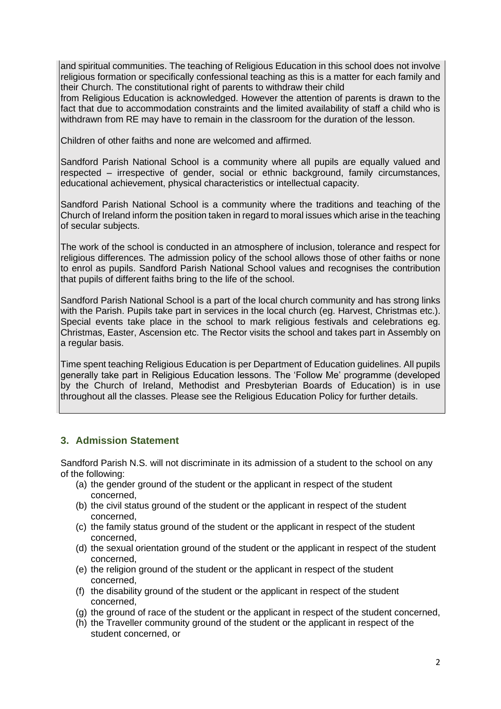and spiritual communities. The teaching of Religious Education in this school does not involve religious formation or specifically confessional teaching as this is a matter for each family and their Church. The constitutional right of parents to withdraw their child

from Religious Education is acknowledged. However the attention of parents is drawn to the fact that due to accommodation constraints and the limited availability of staff a child who is withdrawn from RE may have to remain in the classroom for the duration of the lesson.

Children of other faiths and none are welcomed and affirmed.

Sandford Parish National School is a community where all pupils are equally valued and respected – irrespective of gender, social or ethnic background, family circumstances, educational achievement, physical characteristics or intellectual capacity.

Sandford Parish National School is a community where the traditions and teaching of the Church of Ireland inform the position taken in regard to moral issues which arise in the teaching of secular subjects.

The work of the school is conducted in an atmosphere of inclusion, tolerance and respect for religious differences. The admission policy of the school allows those of other faiths or none to enrol as pupils. Sandford Parish National School values and recognises the contribution that pupils of different faiths bring to the life of the school.

Sandford Parish National School is a part of the local church community and has strong links with the Parish. Pupils take part in services in the local church (eg. Harvest, Christmas etc.). Special events take place in the school to mark religious festivals and celebrations eg. Christmas, Easter, Ascension etc. The Rector visits the school and takes part in Assembly on a regular basis.

Time spent teaching Religious Education is per Department of Education guidelines. All pupils generally take part in Religious Education lessons. The 'Follow Me' programme (developed by the Church of Ireland, Methodist and Presbyterian Boards of Education) is in use throughout all the classes. Please see the Religious Education Policy for further details.

# **3. Admission Statement**

Sandford Parish N.S. will not discriminate in its admission of a student to the school on any of the following:

- (a) the gender ground of the student or the applicant in respect of the student concerned,
- (b) the civil status ground of the student or the applicant in respect of the student concerned,
- (c) the family status ground of the student or the applicant in respect of the student concerned,
- (d) the sexual orientation ground of the student or the applicant in respect of the student concerned,
- (e) the religion ground of the student or the applicant in respect of the student concerned,
- (f) the disability ground of the student or the applicant in respect of the student concerned,
- (g) the ground of race of the student or the applicant in respect of the student concerned,
- (h) the Traveller community ground of the student or the applicant in respect of the student concerned, or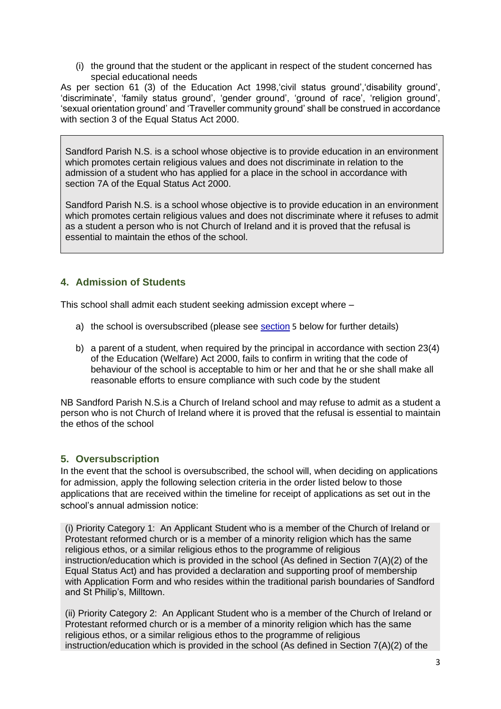(i) the ground that the student or the applicant in respect of the student concerned has special educational needs

As per section 61 (3) of the Education Act 1998,'civil status ground','disability ground', 'discriminate', 'family status ground', 'gender ground', 'ground of race', 'religion ground', 'sexual orientation ground' and 'Traveller community ground' shall be construed in accordance with section 3 of the Equal Status Act 2000.

Sandford Parish N.S. is a school whose objective is to provide education in an environment which promotes certain religious values and does not discriminate in relation to the admission of a student who has applied for a place in the school in accordance with section 7A of the Equal Status Act 2000.

Sandford Parish N.S. is a school whose objective is to provide education in an environment which promotes certain religious values and does not discriminate where it refuses to admit as a student a person who is not Church of Ireland and it is proved that the refusal is essential to maintain the ethos of the school.

# **4. Admission of Students**

This school shall admit each student seeking admission except where –

- a) the school is oversubscribed (please see [section](#page-2-0) 5 below for further details)
- b) a parent of a student, when required by the principal in accordance with section 23(4) of the Education (Welfare) Act 2000, fails to confirm in writing that the code of behaviour of the school is acceptable to him or her and that he or she shall make all reasonable efforts to ensure compliance with such code by the student

NB Sandford Parish N.S.is a Church of Ireland school and may refuse to admit as a student a person who is not Church of Ireland where it is proved that the refusal is essential to maintain the ethos of the school

# <span id="page-2-0"></span>**5. Oversubscription**

In the event that the school is oversubscribed, the school will, when deciding on applications for admission, apply the following selection criteria in the order listed below to those applications that are received within the timeline for receipt of applications as set out in the school's annual admission notice:

(i) Priority Category 1: An Applicant Student who is a member of the Church of Ireland or Protestant reformed church or is a member of a minority religion which has the same religious ethos, or a similar religious ethos to the programme of religious instruction/education which is provided in the school (As defined in Section 7(A)(2) of the Equal Status Act) and has provided a declaration and supporting proof of membership with Application Form and who resides within the traditional parish boundaries of Sandford and St Philip's, Milltown.

(ii) Priority Category 2: An Applicant Student who is a member of the Church of Ireland or Protestant reformed church or is a member of a minority religion which has the same religious ethos, or a similar religious ethos to the programme of religious instruction/education which is provided in the school (As defined in Section 7(A)(2) of the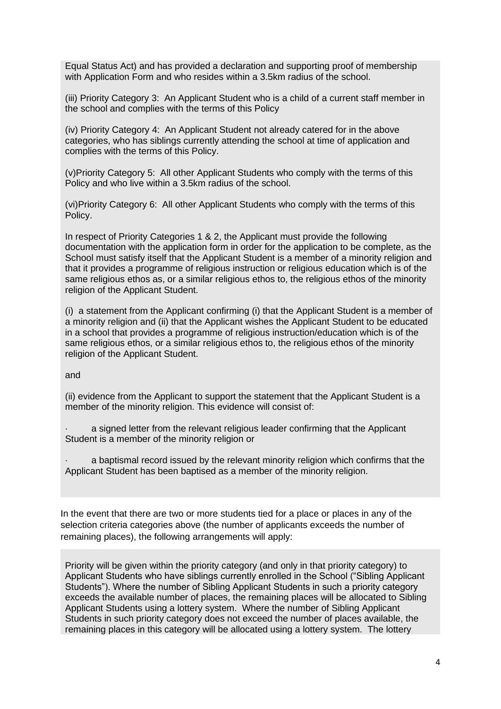Equal Status Act) and has provided a declaration and supporting proof of membership with Application Form and who resides within a 3.5km radius of the school.

(iii) Priority Category 3: An Applicant Student who is a child of a current staff member in the school and complies with the terms of this Policy

(iv) Priority Category 4: An Applicant Student not already catered for in the above categories, who has siblings currently attending the school at time of application and complies with the terms of this Policy.

(v)Priority Category 5: All other Applicant Students who comply with the terms of this Policy and who live within a 3.5km radius of the school.

(vi)Priority Category 6: All other Applicant Students who comply with the terms of this Policy.

In respect of Priority Categories 1 & 2, the Applicant must provide the following documentation with the application form in order for the application to be complete, as the School must satisfy itself that the Applicant Student is a member of a minority religion and that it provides a programme of religious instruction or religious education which is of the same religious ethos as, or a similar religious ethos to, the religious ethos of the minority religion of the Applicant Student.

(i) a statement from the Applicant confirming (i) that the Applicant Student is a member of a minority religion and (ii) that the Applicant wishes the Applicant Student to be educated in a school that provides a programme of religious instruction/education which is of the same religious ethos, or a similar religious ethos to, the religious ethos of the minority religion of the Applicant Student.

and

(ii) evidence from the Applicant to support the statement that the Applicant Student is a member of the minority religion. This evidence will consist of:

a signed letter from the relevant religious leader confirming that the Applicant Student is a member of the minority religion or

a baptismal record issued by the relevant minority religion which confirms that the Applicant Student has been baptised as a member of the minority religion.

In the event that there are two or more students tied for a place or places in any of the selection criteria categories above (the number of applicants exceeds the number of remaining places), the following arrangements will apply:

Priority will be given within the priority category (and only in that priority category) to Applicant Students who have siblings currently enrolled in the School ("Sibling Applicant Students"). Where the number of Sibling Applicant Students in such a priority category exceeds the available number of places, the remaining places will be allocated to Sibling Applicant Students using a lottery system. Where the number of Sibling Applicant Students in such priority category does not exceed the number of places available, the remaining places in this category will be allocated using a lottery system. The lottery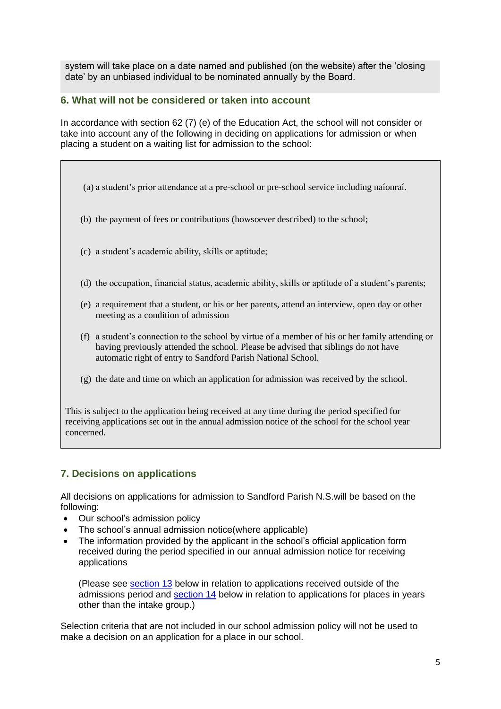system will take place on a date named and published (on the website) after the 'closing date' by an unbiased individual to be nominated annually by the Board.

### **6. What will not be considered or taken into account**

In accordance with section 62 (7) (e) of the Education Act, the school will not consider or take into account any of the following in deciding on applications for admission or when placing a student on a waiting list for admission to the school:

- (a) a student's prior attendance at a pre-school or pre-school service including naíonraí.
- (b) the payment of fees or contributions (howsoever described) to the school;
- (c) a student's academic ability, skills or aptitude;
- (d) the occupation, financial status, academic ability, skills or aptitude of a student's parents;
- (e) a requirement that a student, or his or her parents, attend an interview, open day or other meeting as a condition of admission
- (f) a student's connection to the school by virtue of a member of his or her family attending or having previously attended the school. Please be advised that siblings do not have automatic right of entry to Sandford Parish National School.
- (g) the date and time on which an application for admission was received by the school.

This is subject to the application being received at any time during the period specified for receiving applications set out in the annual admission notice of the school for the school year concerned.

### **7. Decisions on applications**

All decisions on applications for admission to Sandford Parish N.S.will be based on the following:

- Our school's admission policy
- The school's annual admission notice (where applicable)
- The information provided by the applicant in the school's official application form received during the period specified in our annual admission notice for receiving applications

(Please see [section 13](#page-6-0) below in relation to applications received outside of the admissions period and [section 14](#page-7-0) below in relation to applications for places in years other than the intake group.)

Selection criteria that are not included in our school admission policy will not be used to make a decision on an application for a place in our school.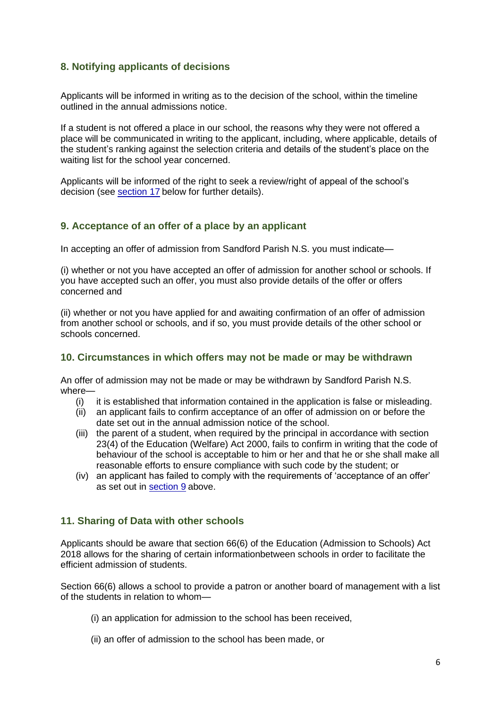## **8. Notifying applicants of decisions**

Applicants will be informed in writing as to the decision of the school, within the timeline outlined in the annual admissions notice.

If a student is not offered a place in our school, the reasons why they were not offered a place will be communicated in writing to the applicant, including, where applicable, details of the student's ranking against the selection criteria and details of the student's place on the waiting list for the school year concerned.

Applicants will be informed of the right to seek a review/right of appeal of the school's decision (see [section 17](#page-8-0) below for further details).

#### <span id="page-5-0"></span>**9. Acceptance of an offer of a place by an applicant**

In accepting an offer of admission from Sandford Parish N.S. you must indicate—

(i) whether or not you have accepted an offer of admission for another school or schools. If you have accepted such an offer, you must also provide details of the offer or offers concerned and

(ii) whether or not you have applied for and awaiting confirmation of an offer of admission from another school or schools, and if so, you must provide details of the other school or schools concerned.

#### **10. Circumstances in which offers may not be made or may be withdrawn**

An offer of admission may not be made or may be withdrawn by Sandford Parish N.S. where—

- (i) it is established that information contained in the application is false or misleading.
- (ii) an applicant fails to confirm acceptance of an offer of admission on or before the date set out in the annual admission notice of the school.
- (iii) the parent of a student, when required by the principal in accordance with section 23(4) of the Education (Welfare) Act 2000, fails to confirm in writing that the code of behaviour of the school is acceptable to him or her and that he or she shall make all reasonable efforts to ensure compliance with such code by the student; or
- (iv) an applicant has failed to comply with the requirements of 'acceptance of an offer' as set out in [section 9](#page-5-0) above.

### **11. Sharing of Data with other schools**

Applicants should be aware that section 66(6) of the Education (Admission to Schools) Act 2018 allows for the sharing of certain informationbetween schools in order to facilitate the efficient admission of students.

Section 66(6) allows a school to provide a patron or another board of management with a list of the students in relation to whom—

- (i) an application for admission to the school has been received,
- (ii) an offer of admission to the school has been made, or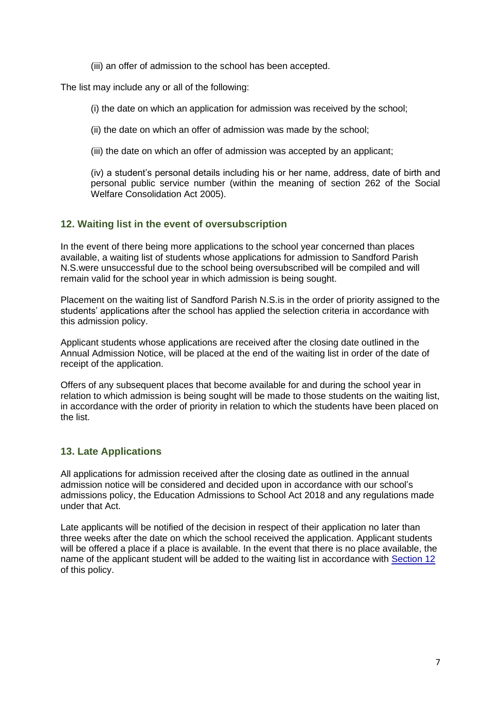(iii) an offer of admission to the school has been accepted.

The list may include any or all of the following:

(i) the date on which an application for admission was received by the school;

(ii) the date on which an offer of admission was made by the school;

(iii) the date on which an offer of admission was accepted by an applicant;

(iv) a student's personal details including his or her name, address, date of birth and personal public service number (within the meaning of section 262 of the Social Welfare Consolidation Act 2005).

# <span id="page-6-1"></span>**12. Waiting list in the event of oversubscription**

In the event of there being more applications to the school year concerned than places available, a waiting list of students whose applications for admission to Sandford Parish N.S.were unsuccessful due to the school being oversubscribed will be compiled and will remain valid for the school year in which admission is being sought.

Placement on the waiting list of Sandford Parish N.S.is in the order of priority assigned to the students' applications after the school has applied the selection criteria in accordance with this admission policy.

Applicant students whose applications are received after the closing date outlined in the Annual Admission Notice, will be placed at the end of the waiting list in order of the date of receipt of the application.

Offers of any subsequent places that become available for and during the school year in relation to which admission is being sought will be made to those students on the waiting list, in accordance with the order of priority in relation to which the students have been placed on the list.

### <span id="page-6-0"></span>**13. Late Applications**

All applications for admission received after the closing date as outlined in the annual admission notice will be considered and decided upon in accordance with our school's admissions policy, the Education Admissions to School Act 2018 and any regulations made under that Act.

Late applicants will be notified of the decision in respect of their application no later than three weeks after the date on which the school received the application. Applicant students will be offered a place if a place is available. In the event that there is no place available, the name of the applicant student will be added to the waiting list in accordance with [Section 12](#page-6-1) of this policy.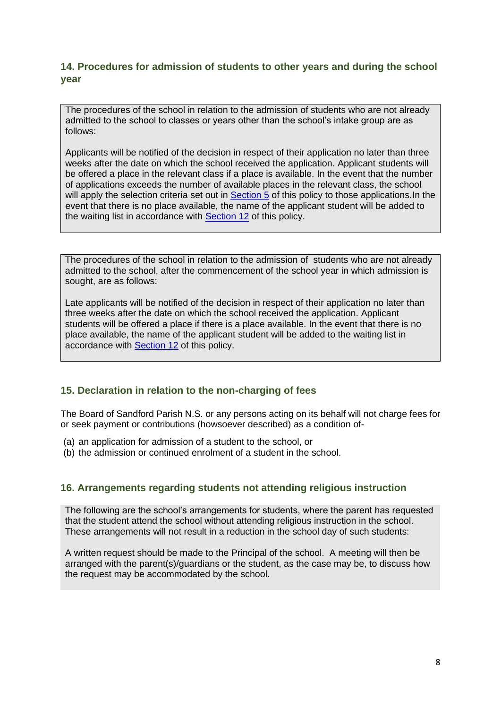# <span id="page-7-0"></span>**14. Procedures for admission of students to other years and during the school year**

The procedures of the school in relation to the admission of students who are not already admitted to the school to classes or years other than the school's intake group are as follows:

Applicants will be notified of the decision in respect of their application no later than three weeks after the date on which the school received the application. Applicant students will be offered a place in the relevant class if a place is available. In the event that the number of applications exceeds the number of available places in the relevant class, the school will apply the selection criteria set out in [Section](#page-2-0) 5 of this policy to those applications. In the event that there is no place available, the name of the applicant student will be added to the waiting list in accordance with [Section 12](#page-6-1) of this policy.

The procedures of the school in relation to the admission of students who are not already admitted to the school, after the commencement of the school year in which admission is sought, are as follows:

Late applicants will be notified of the decision in respect of their application no later than three weeks after the date on which the school received the application. Applicant students will be offered a place if there is a place available. In the event that there is no place available, the name of the applicant student will be added to the waiting list in accordance with [Section 12](#page-6-1) of this policy.

# **15. Declaration in relation to the non-charging of fees**

The Board of Sandford Parish N.S. or any persons acting on its behalf will not charge fees for or seek payment or contributions (howsoever described) as a condition of-

- (a) an application for admission of a student to the school, or
- (b) the admission or continued enrolment of a student in the school.

### **16. Arrangements regarding students not attending religious instruction**

The following are the school's arrangements for students, where the parent has requested that the student attend the school without attending religious instruction in the school. These arrangements will not result in a reduction in the school day of such students:

A written request should be made to the Principal of the school. A meeting will then be arranged with the parent(s)/guardians or the student, as the case may be, to discuss how the request may be accommodated by the school.